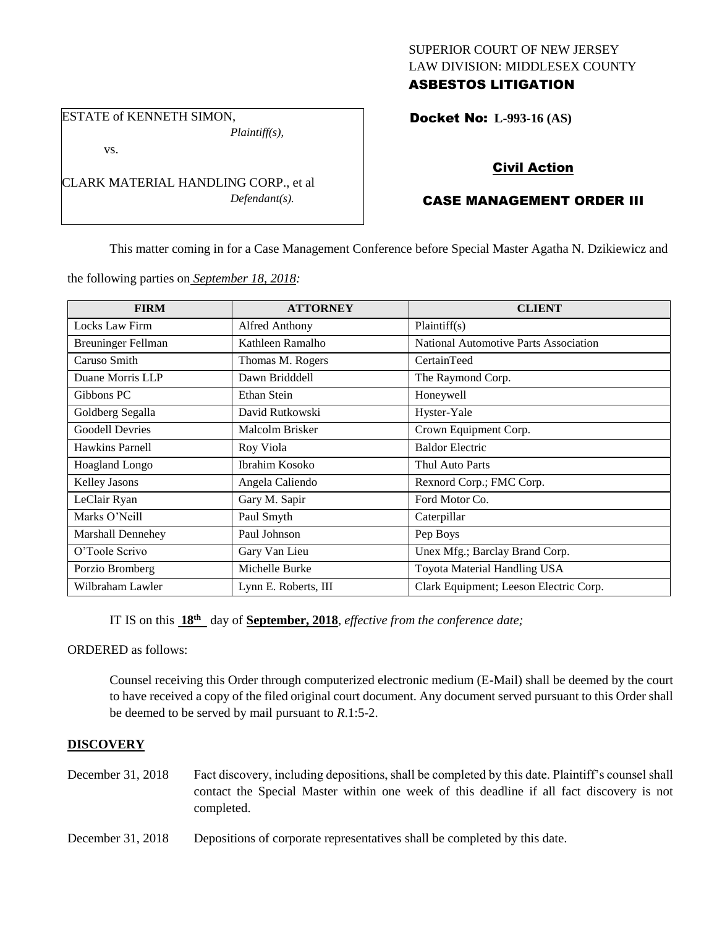### SUPERIOR COURT OF NEW JERSEY LAW DIVISION: MIDDLESEX COUNTY ASBESTOS LITIGATION

ESTATE of KENNETH SIMON, *Plaintiff(s),*

vs.

CLARK MATERIAL HANDLING CORP., et al *Defendant(s).*

# Docket No: **L-993-16 (AS)**

## Civil Action

### CASE MANAGEMENT ORDER III

This matter coming in for a Case Management Conference before Special Master Agatha N. Dzikiewicz and

the following parties on *September 18, 2018:*

| <b>FIRM</b>               | <b>ATTORNEY</b>      | <b>CLIENT</b>                                |
|---------------------------|----------------------|----------------------------------------------|
| Locks Law Firm            | Alfred Anthony       | Plaintiff(s)                                 |
| <b>Breuninger Fellman</b> | Kathleen Ramalho     | <b>National Automotive Parts Association</b> |
| Caruso Smith              | Thomas M. Rogers     | CertainTeed                                  |
| Duane Morris LLP          | Dawn Bridddell       | The Raymond Corp.                            |
| Gibbons PC                | Ethan Stein          | Honeywell                                    |
| Goldberg Segalla          | David Rutkowski      | Hyster-Yale                                  |
| <b>Goodell Devries</b>    | Malcolm Brisker      | Crown Equipment Corp.                        |
| Hawkins Parnell           | Roy Viola            | <b>Baldor Electric</b>                       |
| <b>Hoagland Longo</b>     | Ibrahim Kosoko       | Thul Auto Parts                              |
| <b>Kelley Jasons</b>      | Angela Caliendo      | Rexnord Corp.; FMC Corp.                     |
| LeClair Ryan              | Gary M. Sapir        | Ford Motor Co.                               |
| Marks O'Neill             | Paul Smyth           | Caterpillar                                  |
| Marshall Dennehey         | Paul Johnson         | Pep Boys                                     |
| O'Toole Scrivo            | Gary Van Lieu        | Unex Mfg.; Barclay Brand Corp.               |
| Porzio Bromberg           | Michelle Burke       | Toyota Material Handling USA                 |
| Wilbraham Lawler          | Lynn E. Roberts, III | Clark Equipment; Leeson Electric Corp.       |

IT IS on this **18th** day of **September, 2018**, *effective from the conference date;*

ORDERED as follows:

Counsel receiving this Order through computerized electronic medium (E-Mail) shall be deemed by the court to have received a copy of the filed original court document. Any document served pursuant to this Order shall be deemed to be served by mail pursuant to *R*.1:5-2.

#### **DISCOVERY**

- December 31, 2018 Fact discovery, including depositions, shall be completed by this date. Plaintiff's counsel shall contact the Special Master within one week of this deadline if all fact discovery is not completed.
- December 31, 2018 Depositions of corporate representatives shall be completed by this date.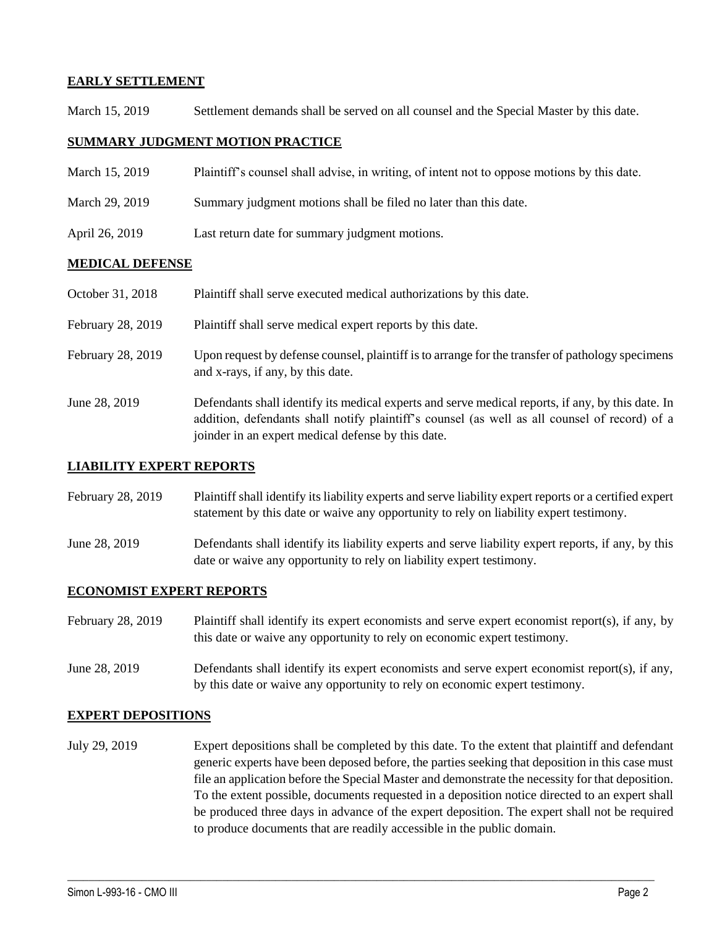# **EARLY SETTLEMENT**

March 15, 2019 Settlement demands shall be served on all counsel and the Special Master by this date.

## **SUMMARY JUDGMENT MOTION PRACTICE**

March 15, 2019 Plaintiff's counsel shall advise, in writing, of intent not to oppose motions by this date. March 29, 2019 Summary judgment motions shall be filed no later than this date. April 26, 2019 Last return date for summary judgment motions.

### **MEDICAL DEFENSE**

- October 31, 2018 Plaintiff shall serve executed medical authorizations by this date.
- February 28, 2019 Plaintiff shall serve medical expert reports by this date.
- February 28, 2019 Upon request by defense counsel, plaintiff is to arrange for the transfer of pathology specimens and x-rays, if any, by this date.
- June 28, 2019 Defendants shall identify its medical experts and serve medical reports, if any, by this date. In addition, defendants shall notify plaintiff's counsel (as well as all counsel of record) of a joinder in an expert medical defense by this date.

#### **LIABILITY EXPERT REPORTS**

- February 28, 2019 Plaintiff shall identify its liability experts and serve liability expert reports or a certified expert statement by this date or waive any opportunity to rely on liability expert testimony.
- June 28, 2019 Defendants shall identify its liability experts and serve liability expert reports, if any, by this date or waive any opportunity to rely on liability expert testimony.

### **ECONOMIST EXPERT REPORTS**

- February 28, 2019 Plaintiff shall identify its expert economists and serve expert economist report(s), if any, by this date or waive any opportunity to rely on economic expert testimony.
- June 28, 2019 Defendants shall identify its expert economists and serve expert economist report(s), if any, by this date or waive any opportunity to rely on economic expert testimony.

### **EXPERT DEPOSITIONS**

July 29, 2019 Expert depositions shall be completed by this date. To the extent that plaintiff and defendant generic experts have been deposed before, the parties seeking that deposition in this case must file an application before the Special Master and demonstrate the necessity for that deposition. To the extent possible, documents requested in a deposition notice directed to an expert shall be produced three days in advance of the expert deposition. The expert shall not be required to produce documents that are readily accessible in the public domain.

 $\_$  ,  $\_$  ,  $\_$  ,  $\_$  ,  $\_$  ,  $\_$  ,  $\_$  ,  $\_$  ,  $\_$  ,  $\_$  ,  $\_$  ,  $\_$  ,  $\_$  ,  $\_$  ,  $\_$  ,  $\_$  ,  $\_$  ,  $\_$  ,  $\_$  ,  $\_$  ,  $\_$  ,  $\_$  ,  $\_$  ,  $\_$  ,  $\_$  ,  $\_$  ,  $\_$  ,  $\_$  ,  $\_$  ,  $\_$  ,  $\_$  ,  $\_$  ,  $\_$  ,  $\_$  ,  $\_$  ,  $\_$  ,  $\_$  ,